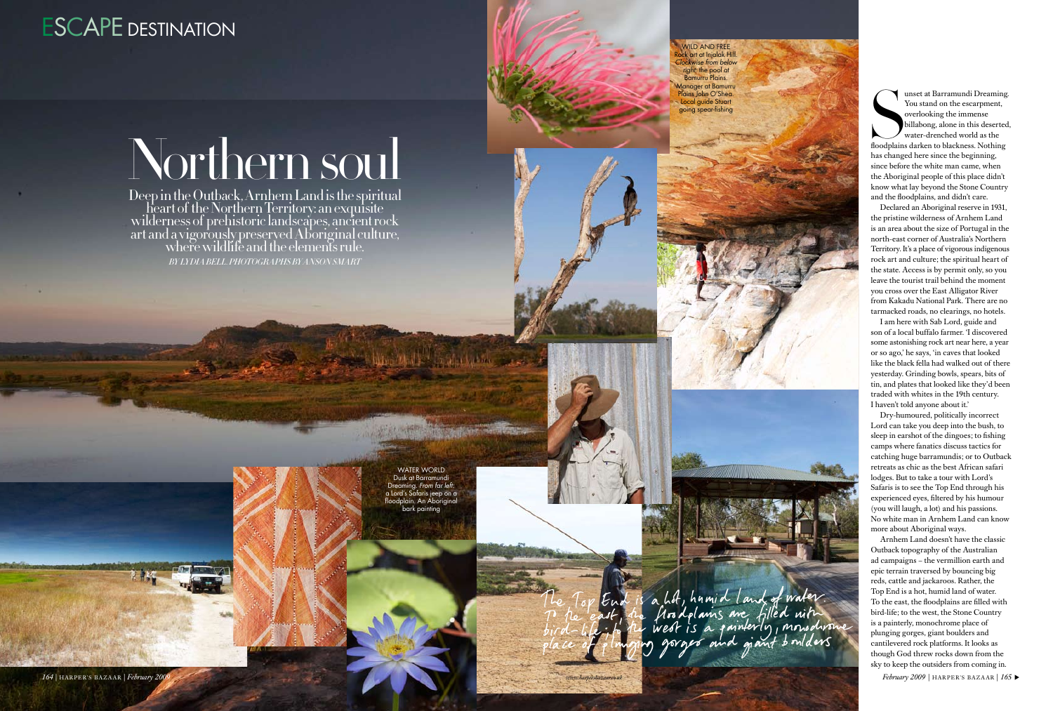Deep in the Outback, Arnhem Land is the spiritual heart of the Northern Territory: an exquısite wilderness of prehistoric landscapes, ancient rock art and a vigorously preserved Aboriginal culture,<br>where wildlife and the elements rule. *By L YDIA BELL. Photographs by ANSON SMART*



## Northern soul

unset at Barramundi Dreaming<br>
You stand on the escarpment,<br>
overlooking the immense<br>
billabong, alone in this deserted<br>
water-drenched world as the<br>
floodplains darken to blackness. Nothing<br>
has changed here since the begi unset at Barramundi Dreaming. You stand on the escarpment, overlooking the immense billabong, alone in this deserted, water-drenched world as the has changed here since the beginning, since before the white man came, when the Aboriginal people of this place didn't know what lay beyond the Stone Country and the floodplains, and didn't care.

Declared an Aboriginal reserve in 1931, the pristine wilderness of Arnhem Land is an area about the size of Portugal in the north-east corner of Australia's Northern Territory. It's a place of vigorous indigenous rock art and culture; the spiritual heart of the state. Access is by permit only, so you leave the tourist trail behind the moment you cross over the East Alligator River from Kakadu National Park. There are no tarmacked roads, no clearings, no hotels.

WATER WORLD Dusk at Barramundi ming. *From far left*. a Lord's Safaris jeep on a floodplain. An Aboriginal bark painting





I am here with Sab Lord, guide and son of a local buffalo farmer. 'I discovered some astonishing rock art near here, a year or so ago,' he says, 'in caves that looked like the black fella had walked out of there yesterday. Grinding bowls, spears, bits of tin, and plates that looked like they'd been traded with whites in the 19th century. I haven't told anyone about it.'

Dry-humoured, politically incorrect Lord can take you deep into the bush, to sleep in earshot of the dingoes; to fishing camps where fanatics discuss tactics for catching huge barramundis; or to Outback retreats as chic as the best African safari lodges. But to take a tour with Lord's Safaris is to see the Top End through his experienced eyes, filtered by his humour (you will laugh, a lot) and his passions. No white man in Arnhem Land can know more about Aboriginal ways.

Arnhem Land doesn't have the classic Outback topography of the Australian ad campaigns – the vermillion earth and epic terrain traversed by bouncing big reds, cattle and jackaroos. Rather, the Top End is a hot, humid land of water. To the east, the floodplains are filled with bird-life; to the west, the Stone Country is a painterly, monochrome place of plunging gorges, giant boulders and cantilevered rock platforms. It looks as though God threw rocks down from the sky to keep the outsiders from coming in.

*164* | HARPER'S BAZAAR | *February 2009 P* + ARPER'S BAZAAR | 165 ▶

## ESCAPE DESTINATION

wild and free Rock art at Injalak Hill. *Clockwise from below right:* the pool at Bamurru Plains. Manager at Bamurru Plains John O'Shea. Local guide Stuart going spear-fishing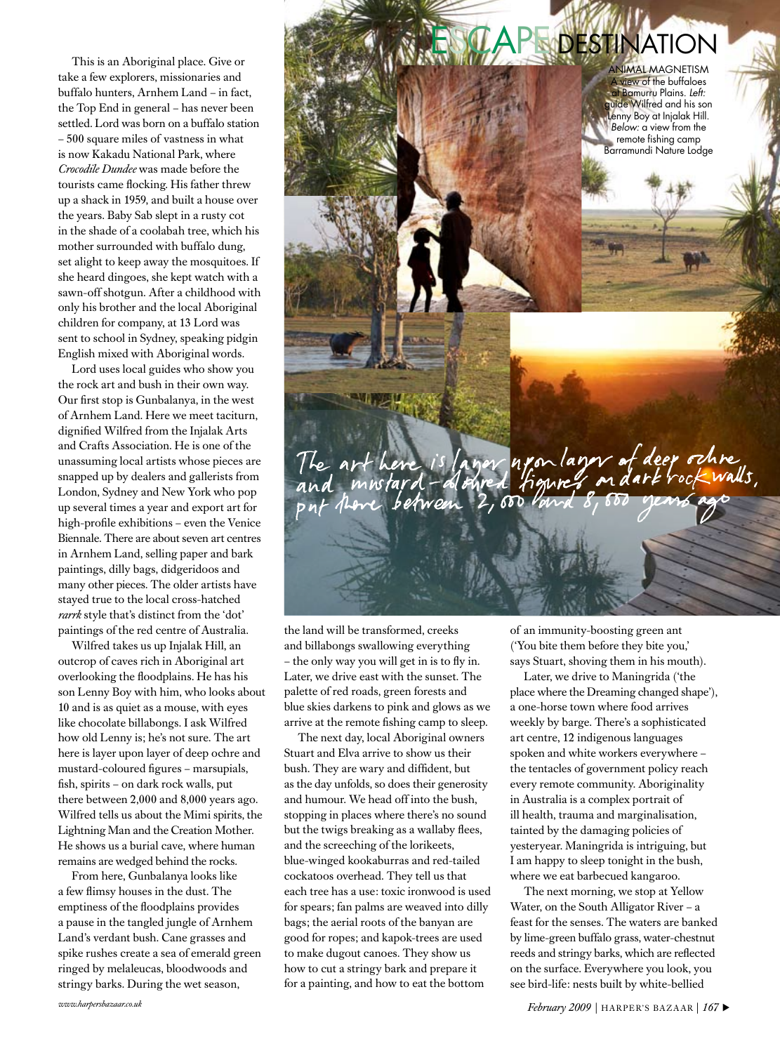This is an Aboriginal place. Give or take a few explorers, missionaries and buffalo hunters, Arnhem Land – in fact, the Top End in general – has never been settled. Lord was born on a buffalo station – 500 square miles of vastness in what is now Kakadu National Park, where *Crocodile Dundee* was made before the tourists came flocking. His father threw up a shack in 1959, and built a house over the years. Baby Sab slept in a rusty cot in the shade of a coolabah tree, which his mother surrounded with buffalo dung, set alight to keep away the mosquitoes. If she heard dingoes, she kept watch with a sawn-off shotgun. After a childhood with only his brother and the local Aboriginal children for company, at 13 Lord was sent to school in Sydney, speaking pidgin English mixed with Aboriginal words.

Lord uses local guides who show you the rock art and bush in their own way. Our first stop is Gunbalanya, in the west of Arnhem Land. Here we meet taciturn, dignified Wilfred from the Injalak Arts and Crafts Association. He is one of the unassuming local artists whose pieces are snapped up by dealers and gallerists from London, Sydney and New York who pop up several times a year and export art for high-profile exhibitions – even the Venice Biennale. There are about seven art centres in Arnhem Land, selling paper and bark paintings, dilly bags, didgeridoos and many other pieces. The older artists have stayed true to the local cross-hatched *rarrk* style that's distinct from the 'dot' paintings of the red centre of Australia.

Wilfred takes us up Injalak Hill, an outcrop of caves rich in Aboriginal art overlooking the floodplains. He has his son Lenny Boy with him, who looks about 10 and is as quiet as a mouse, with eyes like chocolate billabongs. I ask Wilfred how old Lenny is; he's not sure. The art here is layer upon layer of deep ochre and mustard-coloured figures – marsupials, fish, spirits – on dark rock walls, put there between 2,000 and 8,000 years ago. Wilfred tells us about the Mimi spirits, the Lightning Man and the Creation Mother. He shows us a burial cave, where human remains are wedged behind the rocks.

From here, Gunbalanya looks like a few flimsy houses in the dust. The emptiness of the floodplains provides a pause in the tangled jungle of Arnhem Land's verdant bush. Cane grasses and spike rushes create a sea of emerald green ringed by melaleucas, bloodwoods and stringy barks. During the wet season,



the land will be transformed, creeks and billabongs swallowing everything – the only way you will get in is to fly in. Later, we drive east with the sunset. The palette of red roads, green forests and blue skies darkens to pink and glows as we arrive at the remote fishing camp to sleep.

The next day, local Aboriginal owners Stuart and Elva arrive to show us their bush. They are wary and diffident, but as the day unfolds, so does their generosity and humour. We head off into the bush, stopping in places where there's no sound but the twigs breaking as a wallaby flees, and the screeching of the lorikeets, blue-winged kookaburras and red-tailed cockatoos overhead. They tell us that each tree has a use: toxic ironwood is used for spears; fan palms are weaved into dilly bags; the aerial roots of the banyan are good for ropes; and kapok-trees are used to make dugout canoes. They show us how to cut a stringy bark and prepare it for a painting, and how to eat the bottom

of an immunity-boosting green ant ('You bite them before they bite you,' says Stuart, shoving them in his mouth).

Later, we drive to Maningrida ('the place where the Dreaming changed shape'), a one-horse town where food arrives weekly by barge. There's a sophisticated art centre, 12 indigenous languages spoken and white workers everywhere – the tentacles of government policy reach every remote community. Aboriginality in Australia is a complex portrait of ill health, trauma and marginalisation, tainted by the damaging policies of yesteryear. Maningrida is intriguing, but I am happy to sleep tonight in the bush, where we eat barbecued kangaroo.

The next morning, we stop at Yellow Water, on the South Alligator River – a feast for the senses. The waters are banked by lime-green buffalo grass, water-chestnut reeds and stringy barks, which are reflected on the surface. Everywhere you look, you see bird-life: nests built by white-bellied